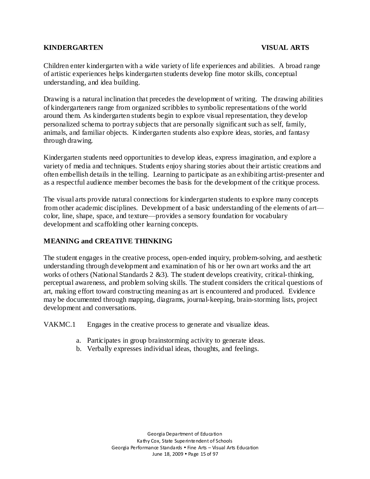#### **KINDERGARTEN VISUAL ARTS**

Children enter kindergarten with a wide variety of life experiences and abilities. A broad range of artistic experiences helps kindergarten students develop fine motor skills, conceptual understanding, and idea building.

Drawing is a natural inclination that precedes the development of writing. The drawing abilities of kindergarteners range from organized scribbles to symbolic representations of the world around them. As kindergarten students begin to explore visual representation, they develop personalized schema to portray subjects that are personally significant such as self, family, animals, and familiar objects. Kindergarten students also explore ideas, stories, and fantasy through drawing.

Kindergarten students need opportunities to develop ideas, express imagination, and explore a variety of media and techniques. Students enjoy sharing stories about their artistic creations and often embellish details in the telling. Learning to participate as an exhibiting artist-presenter and as a respectful audience member becomes the basis for the development of the critique process.

The visual arts provide natural connections for kindergarten students to explore many concepts from other academic disciplines. Development of a basic understanding of the elements of art color, line, shape, space, and texture—provides a sensory foundation for vocabulary development and scaffolding other learning concepts.

## **MEANING and CREATIVE THINKING**

The student engages in the creative process, open-ended inquiry, problem-solving, and aesthetic understanding through development and examination of his or her own art works and the art works of others (National Standards 2 &3). The student develops creativity, critical-thinking, perceptual awareness, and problem solving skills. The student considers the critical questions of art, making effort toward constructing meaning as art is encountered and produced. Evidence may be documented through mapping, diagrams, journal-keeping, brain-storming lists, project development and conversations.

VAKMC.1 Engages in the creative process to generate and visualize ideas.

- a. Participates in group brainstorming activity to generate ideas.
- b. Verbally expresses individual ideas, thoughts, and feelings.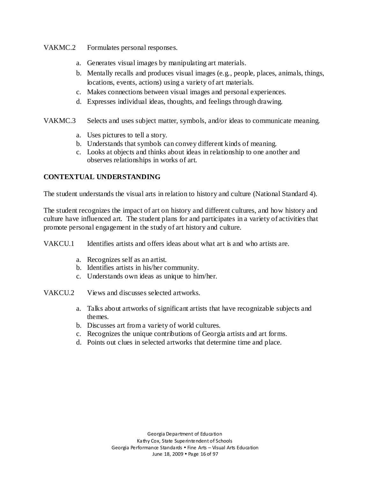VAKMC.2 Formulates personal responses.

- a. Generates visual images by manipulating art materials.
- b. Mentally recalls and produces visual images (e.g., people, places, animals, things, locations, events, actions) using a variety of art materials.
- c. Makes connections between visual images and personal experiences.
- d. Expresses individual ideas, thoughts, and feelings through drawing.
- VAKMC.3 Selects and uses subject matter, symbols, and/or ideas to communicate meaning.
	- a. Uses pictures to tell a story.
	- b. Understands that symbols can convey different kinds of meaning.
	- c. Looks at objects and thinks about ideas in relationship to one another and observes relationships in works of art.

# **CONTEXTUAL UNDERSTANDING**

The student understands the visual arts in relation to history and culture (National Standard 4).

The student recognizes the impact of art on history and different cultures, and how history and culture have influenced art. The student plans for and participates in a variety of activities that promote personal engagement in the study of art history and culture.

VAKCU.1 Identifies artists and offers ideas about what art is and who artists are.

- a. Recognizes self as an artist.
- b. Identifies artists in his/her community.
- c. Understands own ideas as unique to him/her.
- VAKCU.2 Views and discusses selected artworks.
	- a. Talks about artworks of significant artists that have recognizable subjects and themes.
	- b. Discusses art from a variety of world cultures.
	- c. Recognizes the unique contributions of Georgia artists and art forms.
	- d. Points out clues in selected artworks that determine time and place.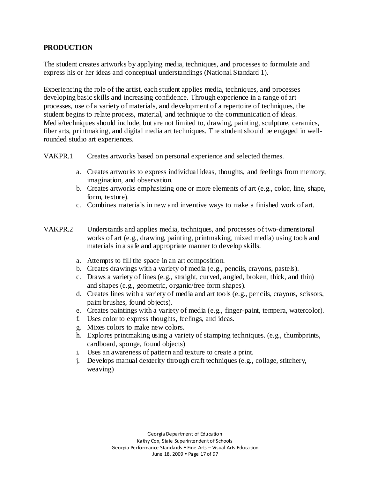## **PRODUCTION**

The student creates artworks by applying media, techniques, and processes to formulate and express his or her ideas and conceptual understandings (National Standard 1).

Experiencing the role of the artist, each student applies media, techniques, and processes developing basic skills and increasing confidence. Through experience in a range of art processes, use of a variety of materials, and development of a repertoire of techniques, the student begins to relate process, material, and technique to the communication of ideas. Media/techniques should include, but are not limited to, drawing, painting, sculpture, ceramics, fiber arts, printmaking, and digital media art techniques. The student should be engaged in wellrounded studio art experiences.

VAKPR.1 Creates artworks based on personal experience and selected themes.

- a. Creates artworks to express individual ideas, thoughts, and feelings from memory, imagination, and observation.
- b. Creates artworks emphasizing one or more elements of art (e.g., color, line, shape, form, texture).
- c. Combines materials in new and inventive ways to make a finished work of art.
- VAKPR.2 Understands and applies media, techniques, and processes of two-dimensional works of art (e.g., drawing, painting, printmaking, mixed media) using tools and materials in a safe and appropriate manner to develop skills.
	- a. Attempts to fill the space in an art composition.
	- b. Creates drawings with a variety of media (e.g., pencils, crayons, pastels).
	- c. Draws a variety of lines (e.g., straight, curved, angled, broken, thick, and thin) and shapes (e.g., geometric, organic/free form shapes).
	- d. Creates lines with a variety of media and art tools (e.g., pencils, crayons, scissors, paint brushes, found objects).
	- e. Creates paintings with a variety of media (e.g., finger-paint, tempera, watercolor).
	- f. Uses color to express thoughts, feelings, and ideas.
	- g. Mixes colors to make new colors.
	- h. Explores printmaking using a variety of stamping techniques. (e.g., thumbprints, cardboard, sponge, found objects)
	- i. Uses an awareness of pattern and texture to create a print.
	- j. Develops manual dexterity through craft techniques (e.g., collage, stitchery, weaving)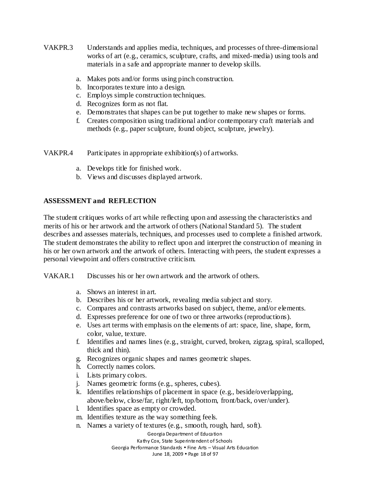- VAKPR.3 Understands and applies media, techniques, and processes of three-dimensional works of art (e.g., ceramics, sculpture, crafts, and mixed-media) using tools and materials in a safe and appropriate manner to develop skills.
	- a. Makes pots and/or forms using pinch construction.
	- b. Incorporates texture into a design.
	- c. Employs simple construction techniques.
	- d. Recognizes form as not flat.
	- e. Demonstrates that shapes can be put together to make new shapes or forms.
	- f. Creates composition using traditional and/or contemporary craft materials and methods (e.g., paper sculpture, found object, sculpture, jewelry).

VAKPR.4 Participates in appropriate exhibition(s) of artworks.

- a. Develops title for finished work.
- b. Views and discusses displayed artwork.

# **ASSESSMENT and REFLECTION**

The student critiques works of art while reflecting upon and assessing the characteristics and merits of his or her artwork and the artwork of others (National Standard 5). The student describes and assesses materials, techniques, and processes used to complete a finished artwork. The student demonstrates the ability to reflect upon and interpret the construction of meaning in his or her own artwork and the artwork of others. Interacting with peers, the student expresses a personal viewpoint and offers constructive criticism.

VAKAR.1 Discusses his or her own artwork and the artwork of others.

- a. Shows an interest in art.
- b. Describes his or her artwork, revealing media subject and story.
- c. Compares and contrasts artworks based on subject, theme, and/or elements.
- d. Expresses preference for one of two or three artworks (reproductions).
- e. Uses art terms with emphasis on the elements of art: space, line, shape, form, color, value, texture.
- f. Identifies and names lines (e.g., straight, curved, broken, zigzag, spiral, scalloped, thick and thin).
- g. Recognizes organic shapes and names geometric shapes.
- h. Correctly names colors.
- i. Lists primary colors.
- j. Names geometric forms (e.g., spheres, cubes).
- k. Identifies relationships of placement in space (e.g., beside/overlapping, above/below, close/far, right/left, top/bottom, front/back, over/under).
- l. Identifies space as empty or crowded.
- m. Identifies texture as the way something feels.
- n. Names a variety of textures (e.g., smooth, rough, hard, soft).

Georgia Department of Education

Kathy Cox, State Superintendent of Schools

Georgia Performance Standards Fine Arts – Visual Arts Education